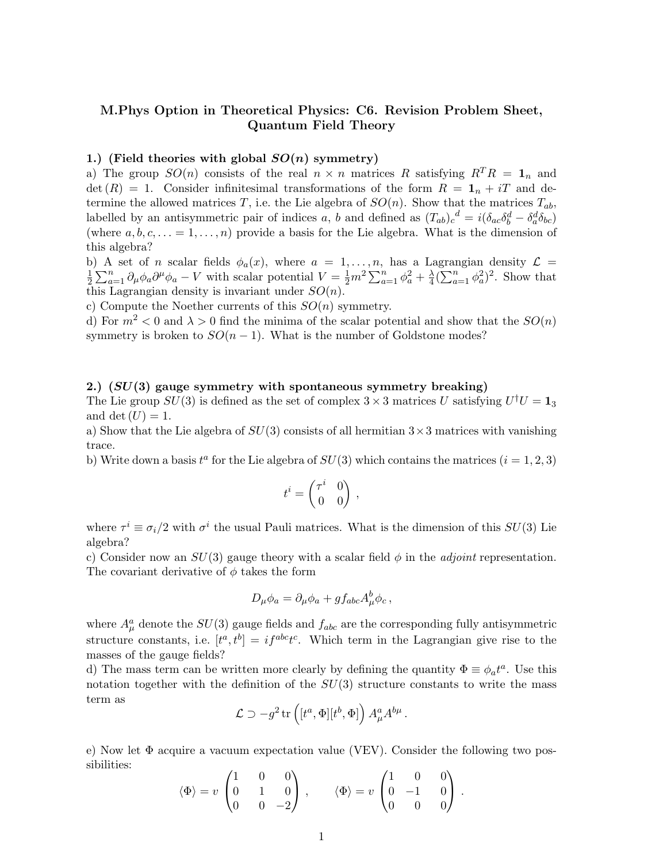# M.Phys Option in Theoretical Physics: C6. Revision Problem Sheet, Quantum Field Theory

## 1.) (Field theories with global  $SO(n)$  symmetry)

a) The group  $SO(n)$  consists of the real  $n \times n$  matrices R satisfying  $R^{T}R = 1_{n}$  and  $\det(R) = 1$ . Consider infinitesimal transformations of the form  $R = 1<sub>n</sub> + iT$  and determine the allowed matrices T, i.e. the Lie algebra of  $SO(n)$ . Show that the matrices  $T_{ab}$ , labelled by an antisymmetric pair of indices a, b and defined as  $(T_{ab})_c^d = i(\delta_{ac}\delta_b^d - \delta_a^d \delta_{bc})$ (where  $a, b, c, \ldots = 1, \ldots, n$ ) provide a basis for the Lie algebra. What is the dimension of this algebra?

b) A set of *n* scalar fields  $\phi_a(x)$ , where  $a = 1, \ldots, n$ , has a Lagrangian density  $\mathcal{L} =$ 1  $\frac{1}{2}\sum_{a=1}^n \partial_\mu \phi_a \partial^\mu \phi_a - V$  with scalar potential  $V = \frac{1}{2}m^2 \sum_{a=1}^n \phi_a^2 + \frac{\lambda}{4}$  $\frac{\lambda}{4} \left( \sum_{a=1}^n \phi_a^2 \right)^2$ . Show that this Lagrangian density is invariant under  $SO(n)$ .

c) Compute the Noether currents of this  $SO(n)$  symmetry.

d) For  $m^2 < 0$  and  $\lambda > 0$  find the minima of the scalar potential and show that the  $SO(n)$ symmetry is broken to  $SO(n-1)$ . What is the number of Goldstone modes?

#### 2.)  $(SU(3)$  gauge symmetry with spontaneous symmetry breaking)

The Lie group  $SU(3)$  is defined as the set of complex  $3 \times 3$  matrices U satisfying  $U^{\dagger}U = \mathbf{1}_3$ and det  $(U) = 1$ .

a) Show that the Lie algebra of  $SU(3)$  consists of all hermitian  $3 \times 3$  matrices with vanishing trace.

b) Write down a basis  $t^a$  for the Lie algebra of  $SU(3)$  which contains the matrices  $(i = 1, 2, 3)$ 

$$
t^i = \begin{pmatrix} \tau^i & 0 \\ 0 & 0 \end{pmatrix} ,
$$

where  $\tau^i \equiv \sigma_i/2$  with  $\sigma^i$  the usual Pauli matrices. What is the dimension of this  $SU(3)$  Lie algebra?

c) Consider now an  $SU(3)$  gauge theory with a scalar field  $\phi$  in the *adjoint* representation. The covariant derivative of  $\phi$  takes the form

$$
D_{\mu}\phi_a = \partial_{\mu}\phi_a + gf_{abc}A^b_{\mu}\phi_c,
$$

where  $A^a_\mu$  denote the  $SU(3)$  gauge fields and  $f_{abc}$  are the corresponding fully antisymmetric structure constants, i.e.  $[t^a, t^b] = i f^{abc} t^c$ . Which term in the Lagrangian give rise to the masses of the gauge fields?

d) The mass term can be written more clearly by defining the quantity  $\Phi \equiv \phi_a t^a$ . Use this notation together with the definition of the  $SU(3)$  structure constants to write the mass term as

$$
\mathcal{L} \supset -g^2 \operatorname{tr}\left( [t^a, \Phi][t^b, \Phi] \right) A^a_\mu A^{b\mu} .
$$

e) Now let Φ acquire a vacuum expectation value (VEV). Consider the following two possibilities:  $\mathcal{L}_{\mathbf{a}}$  $\mathcal{L}$ 

$$
\langle \Phi \rangle = v \begin{pmatrix} 1 & 0 & 0 \\ 0 & 1 & 0 \\ 0 & 0 & -2 \end{pmatrix}, \qquad \langle \Phi \rangle = v \begin{pmatrix} 1 & 0 & 0 \\ 0 & -1 & 0 \\ 0 & 0 & 0 \end{pmatrix}.
$$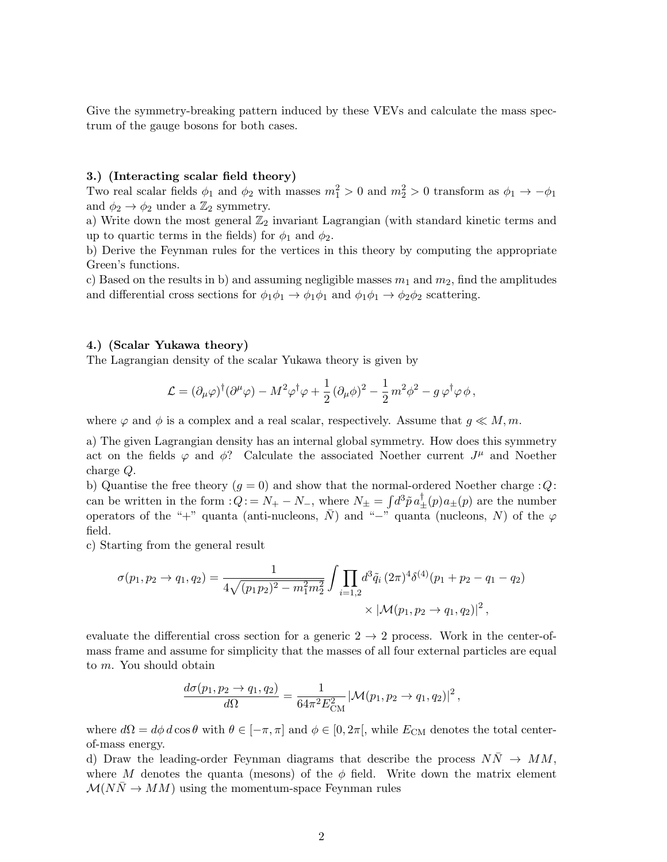Give the symmetry-breaking pattern induced by these VEVs and calculate the mass spectrum of the gauge bosons for both cases.

## 3.) (Interacting scalar field theory)

Two real scalar fields  $\phi_1$  and  $\phi_2$  with masses  $m_1^2 > 0$  and  $m_2^2 > 0$  transform as  $\phi_1 \to -\phi_1$ and  $\phi_2 \rightarrow \phi_2$  under a  $\mathbb{Z}_2$  symmetry.

a) Write down the most general  $\mathbb{Z}_2$  invariant Lagrangian (with standard kinetic terms and up to quartic terms in the fields) for  $\phi_1$  and  $\phi_2$ .

b) Derive the Feynman rules for the vertices in this theory by computing the appropriate Green's functions.

c) Based on the results in b) and assuming negligible masses  $m_1$  and  $m_2$ , find the amplitudes and differential cross sections for  $\phi_1\phi_1 \rightarrow \phi_1\phi_1$  and  $\phi_1\phi_1 \rightarrow \phi_2\phi_2$  scattering.

## 4.) (Scalar Yukawa theory)

The Lagrangian density of the scalar Yukawa theory is given by

$$
\mathcal{L} = (\partial_{\mu}\varphi)^{\dagger}(\partial^{\mu}\varphi) - M^{2}\varphi^{\dagger}\varphi + \frac{1}{2}(\partial_{\mu}\phi)^{2} - \frac{1}{2}m^{2}\phi^{2} - g\,\varphi^{\dagger}\varphi\,\phi,
$$

where  $\varphi$  and  $\phi$  is a complex and a real scalar, respectively. Assume that  $g \ll M, m$ .

a) The given Lagrangian density has an internal global symmetry. How does this symmetry act on the fields  $\varphi$  and  $\phi$ ? Calculate the associated Noether current  $J^{\mu}$  and Noether charge Q.

b) Quantise the free theory  $(g = 0)$  and show that the normal-ordered Noether charge : Q: can be written in the form  $:Q_i = N_+ - N_-,$  where  $N_{\pm} = \int d^3 \tilde{p} \, a^{\dagger}_{\pm}(p) a_{\pm}(p)$  are the number operators of the "+" quanta (anti-nucleons,  $\bar{N}$ ) and "−" quanta (nucleons, N) of the  $\varphi$ field.

c) Starting from the general result

$$
\sigma(p_1, p_2 \to q_1, q_2) = \frac{1}{4\sqrt{(p_1 p_2)^2 - m_1^2 m_2^2}} \int \prod_{i=1,2} d^3 \tilde{q}_i (2\pi)^4 \delta^{(4)}(p_1 + p_2 - q_1 - q_2)
$$
  
 
$$
\times |\mathcal{M}(p_1, p_2 \to q_1, q_2)|^2,
$$

evaluate the differential cross section for a generic  $2 \rightarrow 2$  process. Work in the center-ofmass frame and assume for simplicity that the masses of all four external particles are equal to m. You should obtain

$$
\frac{d\sigma(p_1, p_2 \to q_1, q_2)}{d\Omega} = \frac{1}{64\pi^2 E_{\text{CM}}^2} |\mathcal{M}(p_1, p_2 \to q_1, q_2)|^2,
$$

where  $d\Omega = d\phi \, d\cos\theta$  with  $\theta \in [-\pi, \pi]$  and  $\phi \in [0, 2\pi]$ , while  $E_{\text{CM}}$  denotes the total centerof-mass energy.

d) Draw the leading-order Feynman diagrams that describe the process  $NN \rightarrow MM$ , where M denotes the quanta (mesons) of the  $\phi$  field. Write down the matrix element  $\mathcal{M}(NN \to MM)$  using the momentum-space Feynman rules